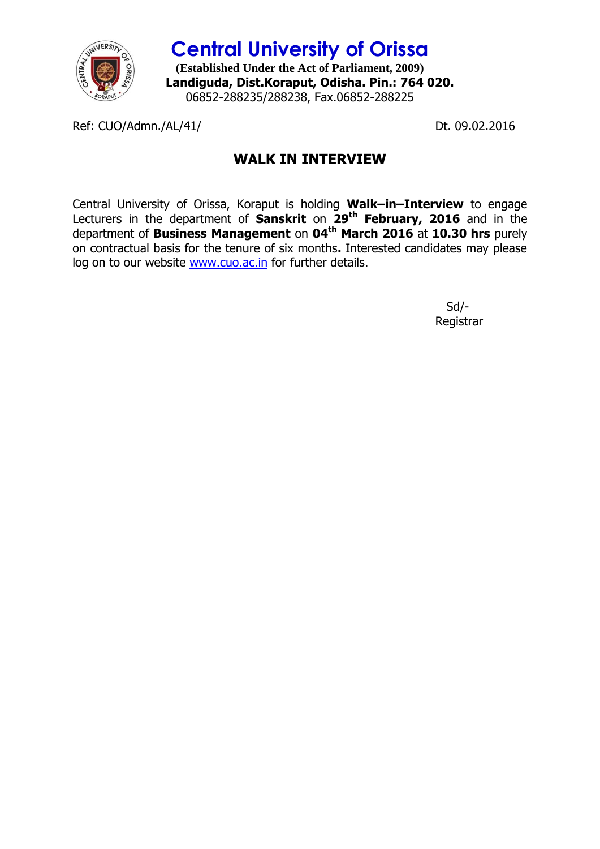

**Central University of Orissa (Established Under the Act of Parliament, 2009) Landiguda, Dist.Koraput, Odisha. Pin.: 764 020.** 06852-288235/288238, Fax.06852-288225

Ref: CUO/Admn./AL/41/ Dt. 09.02.2016

## **WALK IN INTERVIEW**

Central University of Orissa, Koraput is holding **Walk–in–Interview** to engage Lecturers in the department of **Sanskrit** on **29th February, 2016** and in the department of **Business Management** on **04th March 2016** at **10.30 hrs** purely on contractual basis for the tenure of six months**.** Interested candidates may please log on to our website [www.cuo.ac.in](http://www.cuo.ac.in/) for further details.

> Sd/- Registrar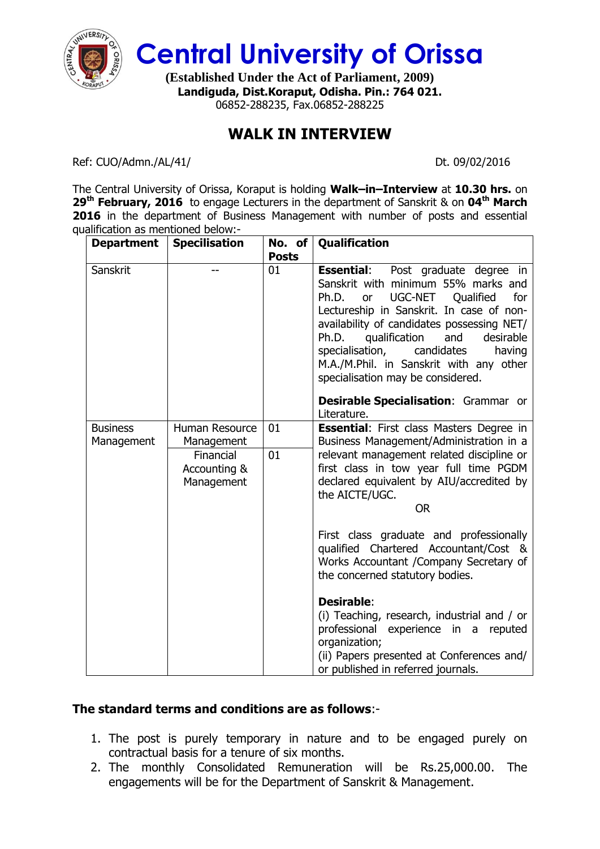

**Central University of Orissa**

**(Established Under the Act of Parliament, 2009) Landiguda, Dist.Koraput, Odisha. Pin.: 764 021.** 06852-288235, Fax.06852-288225

## **WALK IN INTERVIEW**

Ref: CUO/Admn./AL/41/ Dt. 09/02/2016

The Central University of Orissa, Koraput is holding **Walk–in–Interview** at **10.30 hrs.** on **29th February, 2016** to engage Lecturers in the department of Sanskrit & on **04th March 2016** in the department of Business Management with number of posts and essential qualification as mentioned below:-

| <b>Department</b> | <b>Specilisation</b>       | No. of       | Qualification                                                                                                                                                                                                                                                                                                                                                                                            |
|-------------------|----------------------------|--------------|----------------------------------------------------------------------------------------------------------------------------------------------------------------------------------------------------------------------------------------------------------------------------------------------------------------------------------------------------------------------------------------------------------|
|                   |                            | <b>Posts</b> |                                                                                                                                                                                                                                                                                                                                                                                                          |
| Sanskrit          |                            | 01           | <b>Essential:</b> Post graduate degree in<br>Sanskrit with minimum 55% marks and<br><b>UGC-NET</b><br>Ph.D.<br>Qualified<br>for<br>or<br>Lectureship in Sanskrit. In case of non-<br>availability of candidates possessing NET/<br>qualification<br>Ph.D.<br>and<br>desirable<br>specialisation,<br>candidates<br>having<br>M.A./M.Phil. in Sanskrit with any other<br>specialisation may be considered. |
|                   |                            |              | <b>Desirable Specialisation: Grammar or</b><br>Literature.                                                                                                                                                                                                                                                                                                                                               |
| <b>Business</b>   | <b>Human Resource</b>      | 01           | <b>Essential:</b> First class Masters Degree in                                                                                                                                                                                                                                                                                                                                                          |
| Management        | Management                 |              | Business Management/Administration in a                                                                                                                                                                                                                                                                                                                                                                  |
|                   | Financial                  | 01           | relevant management related discipline or                                                                                                                                                                                                                                                                                                                                                                |
|                   | Accounting &<br>Management |              | first class in tow year full time PGDM<br>declared equivalent by AIU/accredited by<br>the AICTE/UGC.                                                                                                                                                                                                                                                                                                     |
|                   |                            |              | <b>OR</b>                                                                                                                                                                                                                                                                                                                                                                                                |
|                   |                            |              | First class graduate and professionally<br>qualified Chartered Accountant/Cost &<br>Works Accountant / Company Secretary of<br>the concerned statutory bodies.                                                                                                                                                                                                                                           |
|                   |                            |              | Desirable:                                                                                                                                                                                                                                                                                                                                                                                               |
|                   |                            |              | (i) Teaching, research, industrial and / or<br>professional experience in a reputed                                                                                                                                                                                                                                                                                                                      |
|                   |                            |              | organization;                                                                                                                                                                                                                                                                                                                                                                                            |
|                   |                            |              | (ii) Papers presented at Conferences and/<br>or published in referred journals.                                                                                                                                                                                                                                                                                                                          |

## **The standard terms and conditions are as follows**:-

- 1. The post is purely temporary in nature and to be engaged purely on contractual basis for a tenure of six months.
- 2. The monthly Consolidated Remuneration will be Rs.25,000.00. The engagements will be for the Department of Sanskrit & Management.